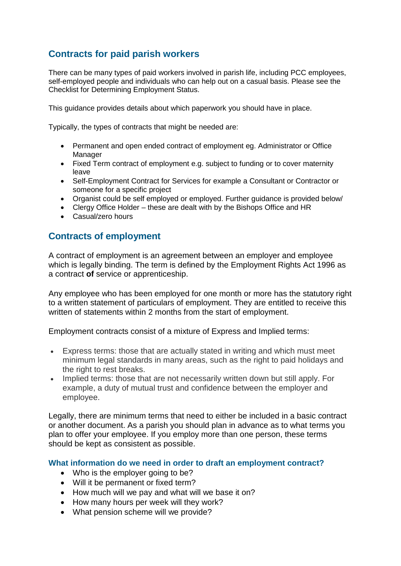# **Contracts for paid parish workers**

There can be many types of paid workers involved in parish life, including PCC employees, self-employed people and individuals who can help out on a casual basis. Please see the Checklist for Determining Employment Status.

This guidance provides details about which paperwork you should have in place.

Typically, the types of contracts that might be needed are:

- Permanent and open ended contract of employment eg. Administrator or Office Manager
- Fixed Term contract of employment e.g. subject to funding or to cover maternity leave
- Self-Employment Contract for Services for example a Consultant or Contractor or someone for a specific project
- Organist could be self employed or employed. Further guidance is provided below/
- Clergy Office Holder these are dealt with by the Bishops Office and HR
- Casual/zero hours

## **Contracts of employment**

A contract of employment is an agreement between an employer and employee which is legally binding. The term is defined by the Employment Rights Act 1996 as a contract **of** service or apprenticeship.

Any employee who has been employed for one month or more has the statutory right to a written statement of particulars of employment. They are entitled to receive this written of statements within 2 months from the start of employment.

Employment contracts consist of a mixture of Express and Implied terms:

- Express terms: those that are actually stated in writing and which must meet minimum legal standards in many areas, such as the right to paid holidays and the right to rest breaks.
- Implied terms: those that are not necessarily written down but still apply. For example, a duty of mutual trust and confidence between the employer and employee.

Legally, there are minimum terms that need to either be included in a basic contract or another document. As a parish you should plan in advance as to what terms you plan to offer your employee. If you employ more than one person, these terms should be kept as consistent as possible.

**What information do we need in order to draft an employment contract?**

- Who is the employer going to be?
- Will it be permanent or fixed term?
- How much will we pay and what will we base it on?
- How many hours per week will they work?
- What pension scheme will we provide?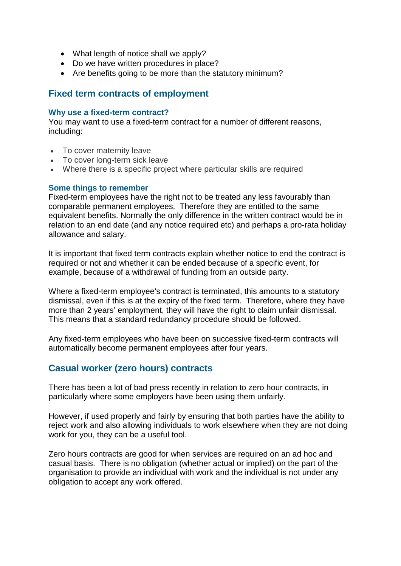- What length of notice shall we apply?
- Do we have written procedures in place?
- Are benefits going to be more than the statutory minimum?

### **Fixed term contracts of employment**

#### **Why use a fixed-term contract?**

You may want to use a fixed-term contract for a number of different reasons, including:

- To cover maternity leave
- To cover long-term sick leave
- Where there is a specific project where particular skills are required

#### **Some things to remember**

Fixed-term employees have the right not to be treated any less favourably than comparable permanent employees. Therefore they are entitled to the same equivalent benefits. Normally the only difference in the written contract would be in relation to an end date (and any notice required etc) and perhaps a pro-rata holiday allowance and salary.

It is important that fixed term contracts explain whether notice to end the contract is required or not and whether it can be ended because of a specific event, for example, because of a withdrawal of funding from an outside party.

Where a fixed-term employee's contract is terminated, this amounts to a statutory dismissal, even if this is at the expiry of the fixed term. Therefore, where they have more than 2 years' employment, they will have the right to claim unfair dismissal. This means that a standard redundancy procedure should be followed.

Any fixed-term employees who have been on successive fixed-term contracts will automatically become permanent employees after four years.

## **Casual worker (zero hours) contracts**

There has been a lot of bad press recently in relation to zero hour contracts, in particularly where some employers have been using them unfairly.

However, if used properly and fairly by ensuring that both parties have the ability to reject work and also allowing individuals to work elsewhere when they are not doing work for you, they can be a useful tool.

Zero hours contracts are good for when services are required on an ad hoc and casual basis. There is no obligation (whether actual or implied) on the part of the organisation to provide an individual with work and the individual is not under any obligation to accept any work offered.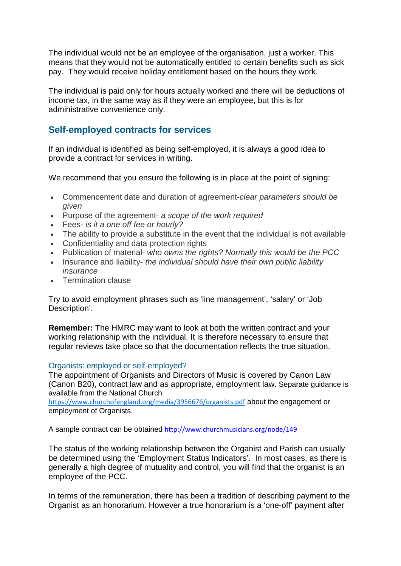The individual would not be an employee of the organisation, just a worker. This means that they would not be automatically entitled to certain benefits such as sick pay. They would receive holiday entitlement based on the hours they work.

The individual is paid only for hours actually worked and there will be deductions of income tax, in the same way as if they were an employee, but this is for administrative convenience only.

# **Self-employed contracts for services**

If an individual is identified as being self-employed, it is always a good idea to provide a contract for services in writing.

We recommend that you ensure the following is in place at the point of signing:

- Commencement date and duration of agreement-*clear parameters should be given*
- Purpose of the agreement- *a scope of the work required*
- Fees- *is it a one off fee or hourly?*
- The ability to provide a substitute in the event that the individual is not available
- Confidentiality and data protection rights
- Publication of material- *who owns the rights? Normally this would be the PCC*
- Insurance and liability- *the individual should have their own public liability insurance*
- Termination clause

Try to avoid employment phrases such as 'line management', 'salary' or 'Job Description'.

**Remember:** The HMRC may want to look at both the written contract and your working relationship with the individual. It is therefore necessary to ensure that regular reviews take place so that the documentation reflects the true situation.

#### Organists: employed or self-employed?

The appointment of Organists and Directors of Music is covered by Canon Law (Canon B20), contract law and as appropriate, employment law. Separate guidance is available from the National Church

<https://www.churchofengland.org/media/3956676/organists.pdf> about the engagement or employment of Organists.

A sample contract can be obtained [http://www.churchmusicians.org/node/149](https://emea01.safelinks.protection.outlook.com/?url=http%3A%2F%2Fwww.churchmusicians.org%2Fnode%2F149&data=01%7C01%7Cpatrick.shorrock%40churchofengland.org%7C08f61472e58a4e01c1da08d4b304193e%7C95e2463b3ab047b49ac1587c77ee84f0%7C0&sdata=EkwLmjmsyj0uzduKhyxrUOd51yUfu3c8NtcPLS68ltQ%3D&reserved=0)

The status of the working relationship between the Organist and Parish can usually be determined using the 'Employment Status Indicators'. In most cases, as there is generally a high degree of mutuality and control, you will find that the organist is an employee of the PCC.

In terms of the remuneration, there has been a tradition of describing payment to the Organist as an honorarium. However a true honorarium is a 'one-off' payment after